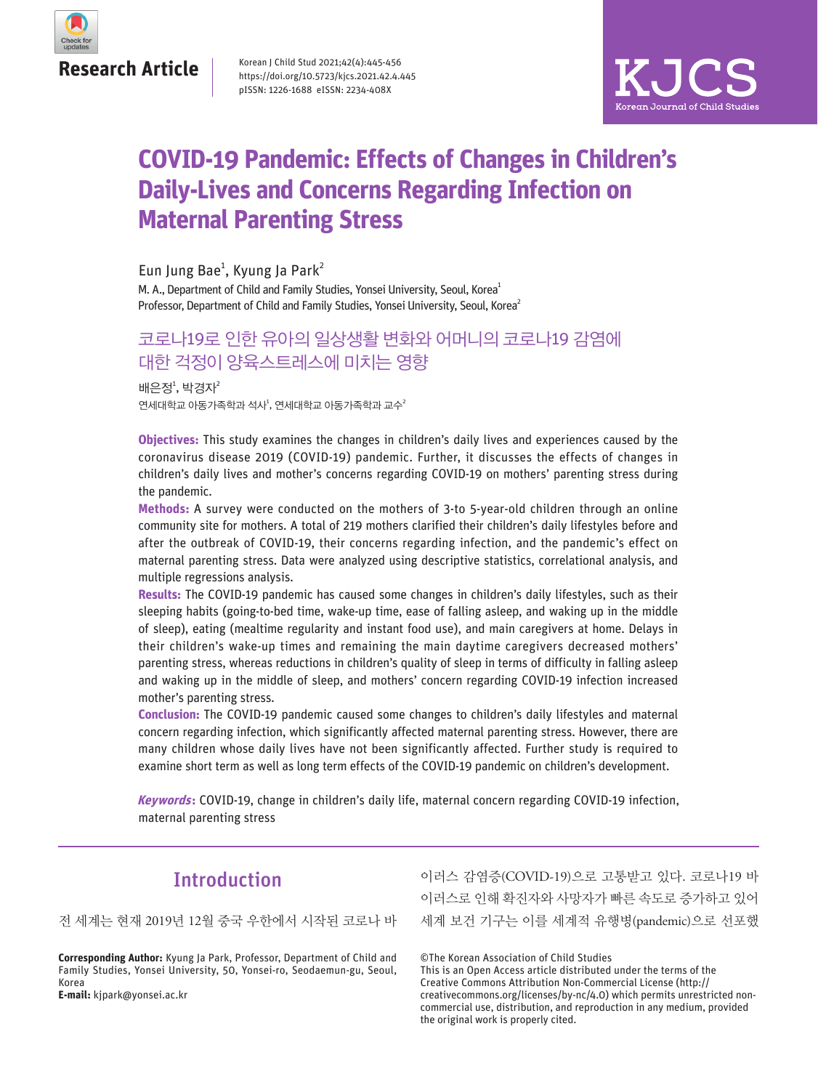

Korean J Child Stud 2021;42(4):445-456 https://doi.org/10.5723/kjcs.2021.42.4.445 pISSN: 1226-1688 eISSN: 2234-408X



# **COVID-19 Pandemic: Effects of Changes in Children's Daily-Lives and Concerns Regarding Infection on Maternal Parenting Stress**

Eun Jung Bae<sup>1</sup>, Kyung Ja Park<sup>2</sup>

M. A., Department of Child and Family Studies, Yonsei University, Seoul, Korea<sup>1</sup> Professor, Department of Child and Family Studies, Yonsei University, Seoul. Korea<sup>2</sup>

# 코로나19로 인한 유아의 일상생활 변화와 어머니의 코로나19 감염에 대한 걱정이 양육스트레스에 미치는 영향

연세대학교 아동가족학과 석사<sup>1</sup>, 연세대학교 아동가족학과 교수 $^{2}$ 배은정 $1$ , 박경자 $2$ 

**Objectives:** This study examines the changes in children's daily lives and experiences caused by the coronavirus disease 2019 (COVID-19) pandemic. Further, it discusses the effects of changes in children's daily lives and mother's concerns regarding COVID-19 on mothers' parenting stress during the pandemic.

**Methods:** A survey were conducted on the mothers of 3-to 5-year-old children through an online community site for mothers. A total of 219 mothers clarified their children's daily lifestyles before and after the outbreak of COVID-19, their concerns regarding infection, and the pandemic's effect on maternal parenting stress. Data were analyzed using descriptive statistics, correlational analysis, and multiple regressions analysis.

**Results:** The COVID-19 pandemic has caused some changes in children's daily lifestyles, such as their sleeping habits (going-to-bed time, wake-up time, ease of falling asleep, and waking up in the middle of sleep), eating (mealtime regularity and instant food use), and main caregivers at home. Delays in their children's wake-up times and remaining the main daytime caregivers decreased mothers' parenting stress, whereas reductions in children's quality of sleep in terms of difficulty in falling asleep and waking up in the middle of sleep, and mothers' concern regarding COVID-19 infection increased mother's parenting stress.

**Conclusion:** The COVID-19 pandemic caused some changes to children's daily lifestyles and maternal concern regarding infection, which significantly affected maternal parenting stress. However, there are many children whose daily lives have not been significantly affected. Further study is required to examine short term as well as long term effects of the COVID-19 pandemic on children's development.

**Keywords:** COVID-19, change in children's daily life, maternal concern regarding COVID-19 infection, maternal parenting stress

## Introduction

전 세계는 현재 2019년 12월 중국 우한에서 시작된 코로나 바

**Corresponding Author:** Kyung Ja Park, Professor, Department of Child and Family Studies, Yonsei University, 50, Yonsei-ro, Seodaemun-gu, Seoul, Korea **E-mail:** kjpark@yonsei.ac.kr

이러스 감염증(COVID-19)으로 고통받고 있다. 코로나19 바 이러스로 인해 확진자와 사망자가 빠른 속도로 증가하고 있어 세계 보건 기구는 이를 세계적 유행병(pandemic)으로 선포했

©The Korean Association of Child Studies

This is an Open Access article distributed under the terms of the Creative Commons Attribution Non-Commercial License (http:// creativecommons.org/licenses/by-nc/4.0) which permits unrestricted noncommercial use, distribution, and reproduction in any medium, provided the original work is properly cited.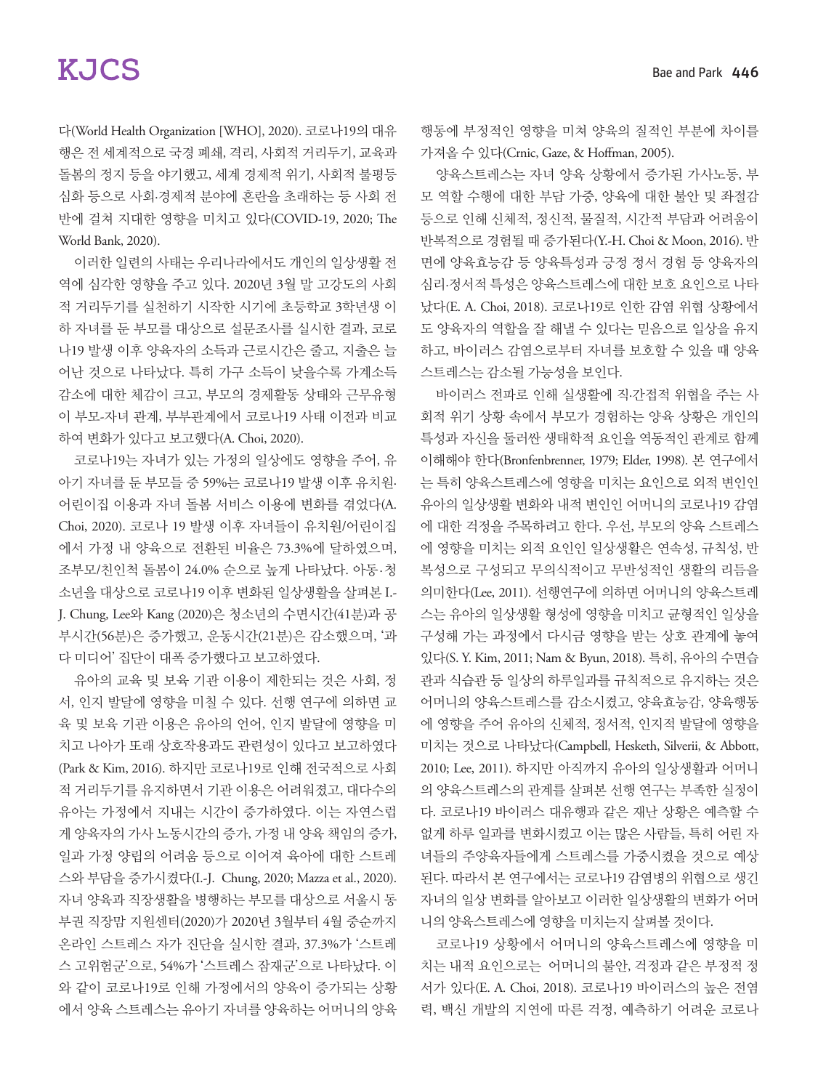다(World Health Organization [WHO], 2020). 코로나19의 대유 행은 전 세계적으로 국경 폐쇄, 격리, 사회적 거리두기, 교육과 돌봄의 정지 등을 야기했고, 세계 경제적 위기, 사회적 불평등 심화 등으로 사회·경제적 분야에 혼란을 초래하는 등 사회 전 반에 걸쳐 지대한 영향을 미치고 있다(COVID-19, 2020; The World Bank, 2020).

이러한 일련의 사태는 우리나라에서도 개인의 일상생활 전 역에 심각한 영향을 주고 있다. 2020년 3월 말 고강도의 사회 적 거리두기를 실천하기 시작한 시기에 초등학교 3학년생 이 하 자녀를 둔 부모를 대상으로 설문조사를 실시한 결과, 코로 나19 발생 이후 양육자의 소득과 근로시간은 줄고, 지출은 늘 어난 것으로 나타났다. 특히 가구 소득이 낮을수록 가계소득 감소에 대한 체감이 크고, 부모의 경제활동 상태와 근무유형 이 부모-자녀 관계, 부부관계에서 코로나19 사태 이전과 비교 하여 변화가 있다고 보고했다(A. Choi, 2020).

코로나19는 자녀가 있는 가정의 일상에도 영향을 주어, 유 아기 자녀를 둔 부모들 중 59%는 코로나19 발생 이후 유치원· 어린이집 이용과 자녀 돌봄 서비스 이용에 변화를 겪었다(A. Choi, 2020). 코로나 19 발생 이후 자녀들이 유치원/어린이집 에서 가정 내 양육으로 전환된 비율은 73.3%에 달하였으며, 조부모/친인척 돌봄이 24.0% 순으로 높게 나타났다. 아동 · 청 소년을 대상으로 코로나19 이후 변화된 일상생활을 살펴본 I.- J. Chung, Lee와 Kang (2020)은 청소년의 수면시간(41분)과 공 부시간(56분)은 증가했고, 운동시간(21분)은 감소했으며, '과 다 미디어' 집단이 대폭 증가했다고 보고하였다.

유아의 교육 및 보육 기관 이용이 제한되는 것은 사회, 정 서, 인지 발달에 영향을 미칠 수 있다. 선행 연구에 의하면 교 육 및 보육 기관 이용은 유아의 언어, 인지 발달에 영향을 미 치고 나아가 또래 상호작용과도 관련성이 있다고 보고하였다 (Park & Kim, 2016). 하지만 코로나19로 인해 전국적으로 사회 적 거리두기를 유지하면서 기관 이용은 어려워졌고, 대다수의 유아는 가정에서 지내는 시간이 증가하였다. 이는 자연스럽 게 양육자의 가사 노동시간의 증가, 가정 내 양육 책임의 증가, 일과 가정 양립의 어려움 등으로 이어져 육아에 대한 스트레 스와 부담을 증가시켰다(I.-J. Chung, 2020; Mazza et al., 2020). 자녀 양육과 직장생활을 병행하는 부모를 대상으로 서울시 동 부권 직장맘 지원센터(2020)가 2020년 3월부터 4월 중순까지 온라인 스트레스 자가 진단을 실시한 결과, 37.3%가 '스트레 스 고위험군'으로, 54%가 '스트레스 잠재군'으로 나타났다. 이 와 같이 코로나19로 인해 가정에서의 양육이 증가되는 상황 에서 양육 스트레스는 유아기 자녀를 양육하는 어머니의 양육

행동에 부정적인 영향을 미쳐 양육의 질적인 부분에 차이를 가져올 수 있다(Crnic, Gaze, & Hoffman, 2005).

양육스트레스는 자녀 양육 상황에서 증가된 가사노동, 부 모 역할 수행에 대한 부담 가중, 양육에 대한 불안 및 좌절감 등으로 인해 신체적, 정신적, 물질적, 시간적 부담과 어려움이 반복적으로 경험될 때 증가된다(Y.-H. Choi & Moon, 2016). 반 면에 양육효능감 등 양육특성과 긍정 정서 경험 등 양육자의 심리·정서적 특성은 양육스트레스에 대한 보호 요인으로 나타 났다(E. A. Choi, 2018). 코로나19로 인한 감염 위협 상황에서 도 양육자의 역할을 잘 해낼 수 있다는 믿음으로 일상을 유지 하고, 바이러스 감염으로부터 자녀를 보호할 수 있을 때 양육 스트레스는 감소될 가능성을 보인다.

바이러스 전파로 인해 실생활에 직·간접적 위협을 주는 사 회적 위기 상황 속에서 부모가 경험하는 양육 상황은 개인의 특성과 자신을 둘러싼 생태학적 요인을 역동적인 관계로 함께 이해해야 한다(Bronfenbrenner, 1979; Elder, 1998). 본 연구에서 는 특히 양육스트레스에 영향을 미치는 요인으로 외적 변인인 유아의 일상생활 변화와 내적 변인인 어머니의 코로나19 감염 에 대한 걱정을 주목하려고 한다. 우선, 부모의 양육 스트레스 에 영향을 미치는 외적 요인인 일상생활은 연속성, 규칙성, 반 복성으로 구성되고 무의식적이고 무반성적인 생활의 리듬을 의미한다(Lee, 2011). 선행연구에 의하면 어머니의 양육스트레 스는 유아의 일상생활 형성에 영향을 미치고 균형적인 일상을 구성해 가는 과정에서 다시금 영향을 받는 상호 관계에 놓여 있다(S. Y. Kim, 2011; Nam & Byun, 2018). 특히, 유아의 수면습 관과 식습관 등 일상의 하루일과를 규칙적으로 유지하는 것은 어머니의 양육스트레스를 감소시켰고, 양육효능감, 양육행동 에 영향을 주어 유아의 신체적, 정서적, 인지적 발달에 영향을 미치는 것으로 나타났다(Campbell, Hesketh, Silverii, & Abbott, 2010; Lee, 2011). 하지만 아직까지 유아의 일상생활과 어머니 의 양육스트레스의 관계를 살펴본 선행 연구는 부족한 실정이 다. 코로나19 바이러스 대유행과 같은 재난 상황은 예측할 수 없게 하루 일과를 변화시켰고 이는 많은 사람들, 특히 어린 자 녀들의 주양육자들에게 스트레스를 가중시켰을 것으로 예상 된다. 따라서 본 연구에서는 코로나19 감염병의 위협으로 생긴 자녀의 일상 변화를 알아보고 이러한 일상생활의 변화가 어머 니의 양육스트레스에 영향을 미치는지 살펴볼 것이다.

코로나19 상황에서 어머니의 양육스트레스에 영향을 미 치는 내적 요인으로는 어머니의 불안, 걱정과 같은 부정적 정 서가 있다(E. A. Choi, 2018). 코로나19 바이러스의 높은 전염 력, 백신 개발의 지연에 따른 걱정, 예측하기 어려운 코로나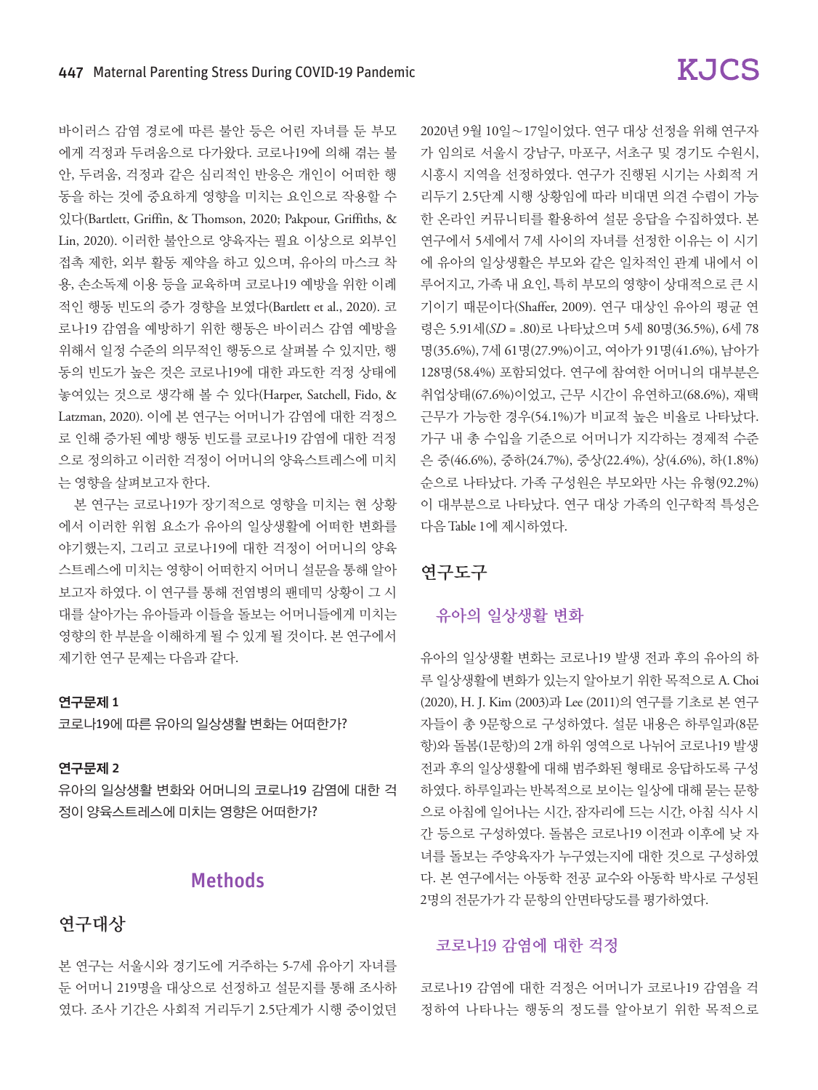바이러스 감염 경로에 따른 불안 등은 어린 자녀를 둔 부모 에게 걱정과 두려움으로 다가왔다. 코로나19에 의해 겪는 불 안, 두려움, 걱정과 같은 심리적인 반응은 개인이 어떠한 행 동을 하는 것에 중요하게 영향을 미치는 요인으로 작용할 수 있다(Bartlett, Griffin, & Thomson, 2020; Pakpour, Griffiths, & Lin, 2020). 이러한 불안으로 양육자는 필요 이상으로 외부인 접촉 제한, 외부 활동 제약을 하고 있으며, 유아의 마스크 착 용, 손소독제 이용 등을 교육하며 코로나19 예방을 위한 이례 적인 행동 빈도의 증가 경향을 보였다(Bartlett et al., 2020). 코 로나19 감염을 예방하기 위한 행동은 바이러스 감염 예방을 위해서 일정 수준의 의무적인 행동으로 살펴볼 수 있지만, 행 동의 빈도가 높은 것은 코로나19에 대한 과도한 걱정 상태에 놓여있는 것으로 생각해 볼 수 있다(Harper, Satchell, Fido, & Latzman, 2020). 이에 본 연구는 어머니가 감염에 대한 걱정으 로 인해 증가된 예방 행동 빈도를 코로나19 감염에 대한 걱정 으로 정의하고 이러한 걱정이 어머니의 양육스트레스에 미치 는 영향을 살펴보고자 한다.

본 연구는 코로나19가 장기적으로 영향을 미치는 현 상황 에서 이러한 위험 요소가 유아의 일상생활에 어떠한 변화를 야기했는지, 그리고 코로나19에 대한 걱정이 어머니의 양육 스트레스에 미치는 영향이 어떠한지 어머니 설문을 통해 알아 보고자 하였다. 이 연구를 통해 전염병의 팬데믹 상황이 그 시 대를 살아가는 유아들과 이들을 돌보는 어머니들에게 미치는 영향의 한 부분을 이해하게 될 수 있게 될 것이다. 본 연구에서 제기한 연구 문제는 다음과 같다.

### 연구문제 1

코로나19에 따른 유아의 일상생활 변화는 어떠한가?

### 연구문제 2

유아의 일상생활 변화와 어머니의 코로나19 감염에 대한 걱 정이 양육스트레스에 미치는 영향은 어떠한가?

## Methods

## 연구대상

본 연구는 서울시와 경기도에 거주하는 5-7세 유아기 자녀를 둔 어머니 219명을 대상으로 선정하고 설문지를 통해 조사하 였다. 조사 기간은 사회적 거리두기 2.5단계가 시행 중이었던

2020년 9월 10일∼17일이었다. 연구 대상 선정을 위해 연구자 가 임의로 서울시 강남구, 마포구, 서초구 및 경기도 수원시, 시흥시 지역을 선정하였다. 연구가 진행된 시기는 사회적 거 리두기 2.5단계 시행 상황임에 따라 비대면 의견 수렴이 가능 한 온라인 커뮤니티를 활용하여 설문 응답을 수집하였다. 본 연구에서 5세에서 7세 사이의 자녀를 선정한 이유는 이 시기 에 유아의 일상생활은 부모와 같은 일차적인 관계 내에서 이 루어지고, 가족 내 요인, 특히 부모의 영향이 상대적으로 큰 시 기이기 때문이다(Shaffer, 2009). 연구 대상인 유아의 평균 연 령은 5.91세(*SD* = .80)로 나타났으며 5세 80명(36.5%), 6세 78 명(35.6%), 7세 61명(27.9%)이고, 여아가 91명(41.6%), 남아가 128명(58.4%) 포함되었다. 연구에 참여한 어머니의 대부분은 취업상태(67.6%)이었고, 근무 시간이 유연하고(68.6%), 재택 근무가 가능한 경우(54.1%)가 비교적 높은 비율로 나타났다. 가구 내 총 수입을 기준으로 어머니가 지각하는 경제적 수준 은 중(46.6%), 중하(24.7%), 중상(22.4%), 상(4.6%), 하(1.8%) 순으로 나타났다. 가족 구성원은 부모와만 사는 유형(92.2%) 이 대부분으로 나타났다. 연구 대상 가족의 인구학적 특성은 다음 Table 1에 제시하였다.

## 연구도구

### 유아의 일상생활 변화

유아의 일상생활 변화는 코로나19 발생 전과 후의 유아의 하 루 일상생활에 변화가 있는지 알아보기 위한 목적으로 A. Choi (2020), H. J. Kim (2003)과 Lee (2011)의 연구를 기초로 본 연구 자들이 총 9문항으로 구성하였다. 설문 내용은 하루일과(8문 항)와 돌봄(1문항)의 2개 하위 영역으로 나뉘어 코로나19 발생 전과 후의 일상생활에 대해 범주화된 형태로 응답하도록 구성 하였다. 하루일과는 반복적으로 보이는 일상에 대해 묻는 문항 으로 아침에 일어나는 시간, 잠자리에 드는 시간, 아침 식사 시 간 등으로 구성하였다. 돌봄은 코로나19 이전과 이후에 낮 자 녀를 돌보는 주양육자가 누구였는지에 대한 것으로 구성하였 다. 본 연구에서는 아동학 전공 교수와 아동학 박사로 구성된 2명의 전문가가 각 문항의 안면타당도를 평가하였다.

### 코로나19 감염에 대한 걱정

코로나19 감염에 대한 걱정은 어머니가 코로나19 감염을 걱 정하여 나타나는 행동의 정도를 알아보기 위한 목적으로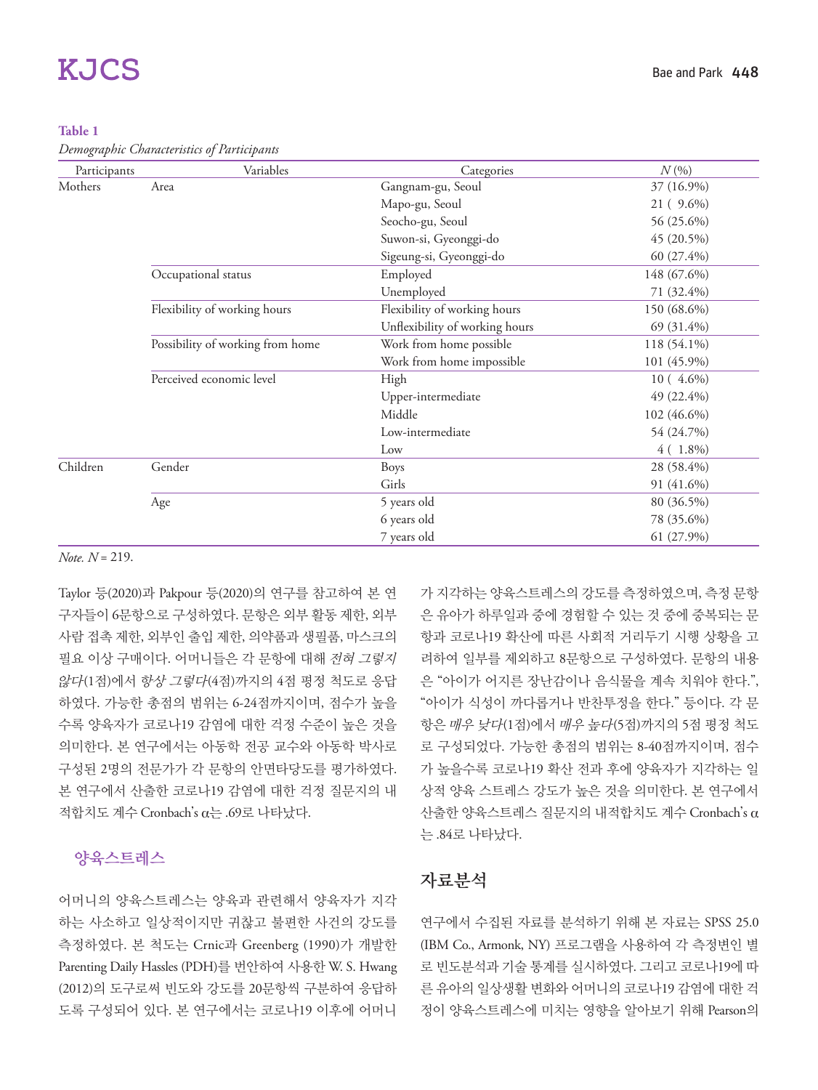#### **Table 1**

*Demographic Characteristics of Participants*

| Participants | Variables                        | Categories                     | $N(\% )$     |
|--------------|----------------------------------|--------------------------------|--------------|
| Mothers      | Area                             | Gangnam-gu, Seoul              | 37 (16.9%)   |
|              |                                  | Mapo-gu, Seoul                 | 21 ( 9.6%)   |
|              |                                  | Seocho-gu, Seoul               | 56 (25.6%)   |
|              |                                  | Suwon-si, Gyeonggi-do          | 45 (20.5%)   |
|              |                                  | Sigeung-si, Gyeonggi-do        | $60(27.4\%)$ |
|              | Occupational status              | Employed                       | 148 (67.6%)  |
|              |                                  | Unemployed                     | 71 (32.4%)   |
|              | Flexibility of working hours     | Flexibility of working hours   | 150 (68.6%)  |
|              |                                  | Unflexibility of working hours | 69 (31.4%)   |
|              | Possibility of working from home | Work from home possible        | 118 (54.1%)  |
|              |                                  | Work from home impossible      | 101 (45.9%)  |
|              | Perceived economic level         | High                           | $10(4.6\%)$  |
|              |                                  | Upper-intermediate             | 49 (22.4%)   |
|              |                                  | Middle                         | 102 (46.6%)  |
|              |                                  | Low-intermediate               | 54 (24.7%)   |
|              |                                  | Low                            | $4(1.8\%)$   |
| Children     | Gender                           | Boys                           | 28 (58.4%)   |
|              |                                  | Girls                          | 91 (41.6%)   |
|              | Age                              | 5 years old                    | 80 (36.5%)   |
|              |                                  | 6 years old                    | 78 (35.6%)   |
|              |                                  | 7 years old                    | 61 (27.9%)   |

*Note. N* = 219.

Taylor 등(2020)과 Pakpour 등(2020)의 연구를 참고하여 본 연 구자들이 6문항으로 구성하였다. 문항은 외부 활동 제한, 외부 사람 접촉 제한, 외부인 출입 제한, 의약품과 생필품, 마스크의 필요 이상 구매이다. 어머니들은 각 문항에 대해 전혀 그렇지 않다(1점)에서 항상 그렇다(4점)까지의 4점 평정 척도로 응답 하였다. 가능한 총점의 범위는 6-24점까지이며, 점수가 높을 수록 양육자가 코로나19 감염에 대한 걱정 수준이 높은 것을 의미한다. 본 연구에서는 아동학 전공 교수와 아동학 박사로 구성된 2명의 전문가가 각 문항의 안면타당도를 평가하였다. 본 연구에서 산출한 코로나19 감염에 대한 걱정 질문지의 내 적합치도 계수 Cronbach's α는 .69로 나타났다.

## 양육스트레스

어머니의 양육스트레스는 양육과 관련해서 양육자가 지각 하는 사소하고 일상적이지만 귀찮고 불편한 사건의 강도를 측정하였다. 본 척도는 Crnic과 Greenberg (1990)가 개발한 Parenting Daily Hassles (PDH)를 번안하여 사용한 W. S. Hwang (2012)의 도구로써 빈도와 강도를 20문항씩 구분하여 응답하 도록 구성되어 있다. 본 연구에서는 코로나19 이후에 어머니

가 지각하는 양육스트레스의 강도를 측정하였으며, 측정 문항 은 유아가 하루일과 중에 경험할 수 있는 것 중에 중복되는 문 항과 코로나19 확산에 따른 사회적 거리두기 시행 상황을 고 려하여 일부를 제외하고 8문항으로 구성하였다. 문항의 내용 은 "아이가 어지른 장난감이나 음식물을 계속 치워야 한다.", "아이가 식성이 까다롭거나 반찬투정을 한다." 등이다. 각 문 항은 매우 낮다(1점)에서 매우 높다(5점)까지의 5점 평정 척도 로 구성되었다. 가능한 총점의 범위는 8-40점까지이며, 점수 가 높을수록 코로나19 확산 전과 후에 양육자가 지각하는 일 상적 양육 스트레스 강도가 높은 것을 의미한다. 본 연구에서 산출한 양육스트레스 질문지의 내적합치도 계수 Cronbach's α 는 .84로 나타났다.

## 자료분석

연구에서 수집된 자료를 분석하기 위해 본 자료는 SPSS 25.0 (IBM Co., Armonk, NY) 프로그램을 사용하여 각 측정변인 별 로 빈도분석과 기술 통계를 실시하였다. 그리고 코로나19에 따 른 유아의 일상생활 변화와 어머니의 코로나19 감염에 대한 걱 정이 양육스트레스에 미치는 영향을 알아보기 위해 Pearson의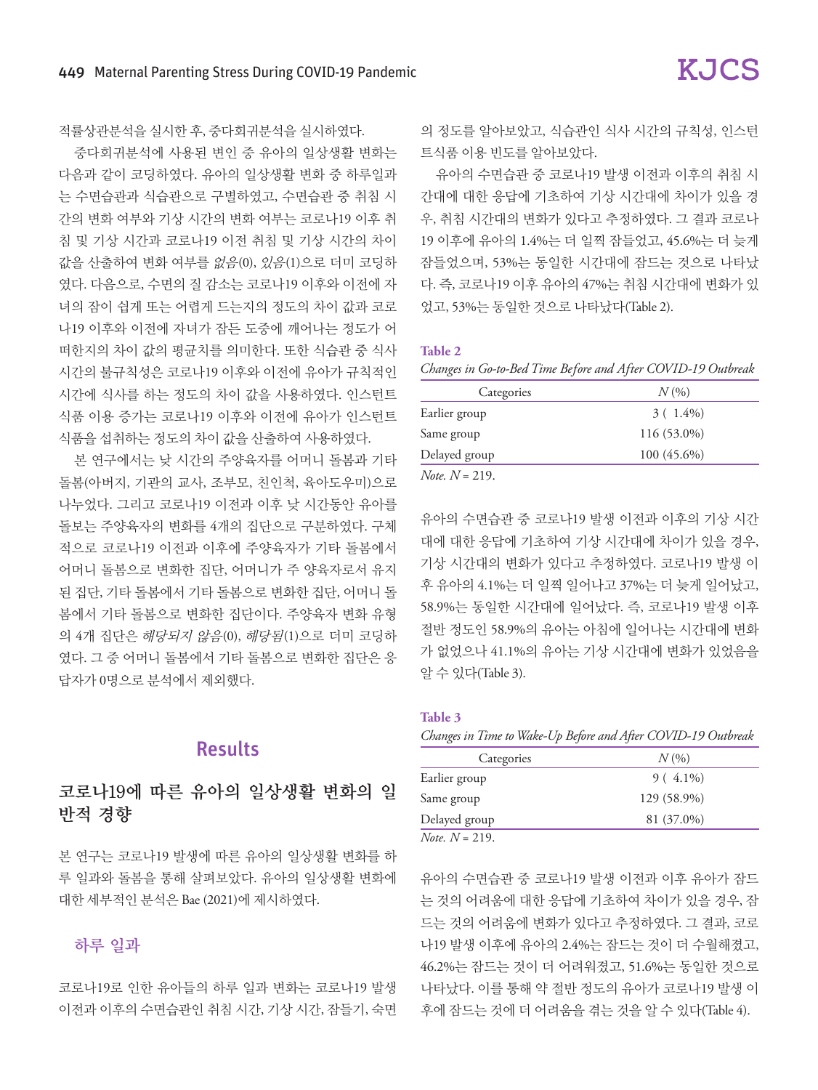적률상관분석을 실시한 후, 중다회귀분석을 실시하였다.

중다회귀분석에 사용된 변인 중 유아의 일상생활 변화는 다음과 같이 코딩하였다. 유아의 일상생활 변화 중 하루일과 는 수면습관과 식습관으로 구별하였고, 수면습관 중 취침 시 간의 변화 여부와 기상 시간의 변화 여부는 코로나19 이후 취 침 및 기상 시간과 코로나19 이전 취침 및 기상 시간의 차이 값을 산출하여 변화 여부를 없음(0), 있음(1)으로 더미 코딩하 였다. 다음으로, 수면의 질 감소는 코로나19 이후와 이전에 자 녀의 잠이 쉽게 또는 어렵게 드는지의 정도의 차이 값과 코로 나19 이후와 이전에 자녀가 잠든 도중에 깨어나는 정도가 어 떠한지의 차이 값의 평균치를 의미한다. 또한 식습관 중 식사 시간의 불규칙성은 코로나19 이후와 이전에 유아가 규칙적인 시간에 식사를 하는 정도의 차이 값을 사용하였다. 인스턴트 식품 이용 증가는 코로나19 이후와 이전에 유아가 인스턴트 식품을 섭취하는 정도의 차이 값을 산출하여 사용하였다.

본 연구에서는 낮 시간의 주양육자를 어머니 돌봄과 기타 돌봄(아버지, 기관의 교사, 조부모, 친인척, 육아도우미)으로 나누었다. 그리고 코로나19 이전과 이후 낮 시간동안 유아를 돌보는 주양육자의 변화를 4개의 집단으로 구분하였다. 구체 적으로 코로나19 이전과 이후에 주양육자가 기타 돌봄에서 어머니 돌봄으로 변화한 집단, 어머니가 주 양육자로서 유지 된 집단, 기타 돌봄에서 기타 돌봄으로 변화한 집단, 어머니 돌 봄에서 기타 돌봄으로 변화한 집단이다. 주양육자 변화 유형 의 4개 집단은 해당되지 않음(0), 해당됨(1)으로 더미 코딩하 였다. 그 중 어머니 돌봄에서 기타 돌봄으로 변화한 집단은 응 답자가 0명으로 분석에서 제외했다.

## Results

## 코로나19에 따른 유아의 일상생활 변화의 일 반적 경향

본 연구는 코로나19 발생에 따른 유아의 일상생활 변화를 하 루 일과와 돌봄을 통해 살펴보았다. 유아의 일상생활 변화에 대한 세부적인 분석은 Bae (2021)에 제시하였다.

### 하루 일과

코로나19로 인한 유아들의 하루 일과 변화는 코로나19 발생 이전과 이후의 수면습관인 취침 시간, 기상 시간, 잠들기, 숙면

의 정도를 알아보았고, 식습관인 식사 시간의 규칙성, 인스턴 트식품 이용 빈도를 알아보았다.

유아의 수면습관 중 코로나19 발생 이전과 이후의 취침 시 간대에 대한 응답에 기초하여 기상 시간대에 차이가 있을 경 우, 취침 시간대의 변화가 있다고 추정하였다. 그 결과 코로나 19 이후에 유아의 1.4%는 더 일찍 잠들었고, 45.6%는 더 늦게 잠들었으며, 53%는 동일한 시간대에 잠드는 것으로 나타났 다. 즉, 코로나19 이후 유아의 47%는 취침 시간대에 변화가 있 었고, 53%는 동일한 것으로 나타났다(Table 2).

#### **Table 2**

*Changes in Go-to-Bed Time Before and After COVID-19 Outbreak*

| Categories               | $N(\%)$       |
|--------------------------|---------------|
| Earlier group            | $3(1.4\%)$    |
| Same group               | 116 (53.0%)   |
| Delayed group            | $100(45.6\%)$ |
| <i>Note.</i> $N = 219$ . |               |

유아의 수면습관 중 코로나19 발생 이전과 이후의 기상 시간 대에 대한 응답에 기초하여 기상 시간대에 차이가 있을 경우, 기상 시간대의 변화가 있다고 추정하였다. 코로나19 발생 이 후 유아의 4.1%는 더 일찍 일어나고 37%는 더 늦게 일어났고, 58.9%는 동일한 시간대에 일어났다. 즉, 코로나19 발생 이후 절반 정도인 58.9%의 유아는 아침에 일어나는 시간대에 변화 가 없었으나 41.1%의 유아는 기상 시간대에 변화가 있었음을 알 수 있다(Table 3).

#### **Table 3**

*Changes in Time to Wake-Up Before and After COVID-19 Outbreak*

| Categories              | $N(\%)$     |
|-------------------------|-------------|
| Earlier group           | $9(4.1\%)$  |
| Same group              | 129 (58.9%) |
| Delayed group           | 81 (37.0%)  |
| <i>Note</i> $N = 219$ . |             |

유아의 수면습관 중 코로나19 발생 이전과 이후 유아가 잠드 는 것의 어려움에 대한 응답에 기초하여 차이가 있을 경우, 잠 드는 것의 어려움에 변화가 있다고 추정하였다. 그 결과, 코로 나19 발생 이후에 유아의 2.4%는 잠드는 것이 더 수월해졌고, 46.2%는 잠드는 것이 더 어려워졌고, 51.6%는 동일한 것으로 나타났다. 이를 통해 약 절반 정도의 유아가 코로나19 발생 이 후에 잠드는 것에 더 어려움을 겪는 것을 알 수 있다(Table 4).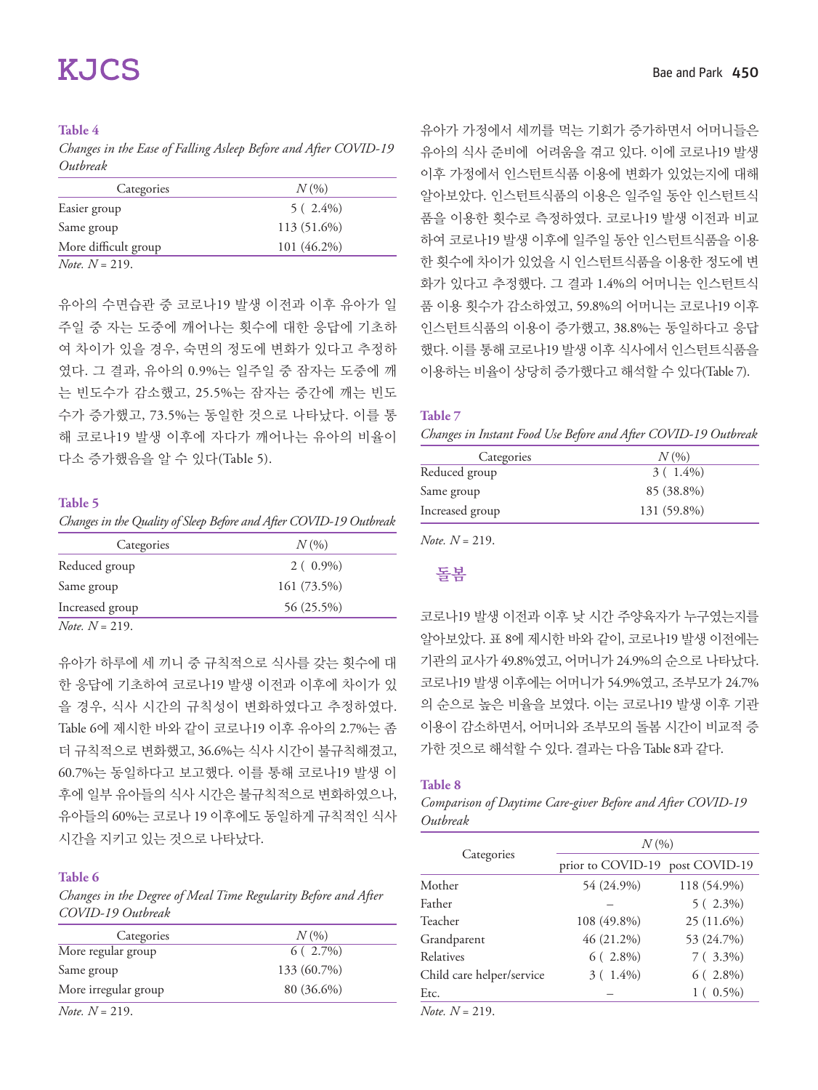#### **Table 4**

*Changes in the Ease of Falling Asleep Before and After COVID-19 Outbreak*

| Categories               | $N(\%)$     |
|--------------------------|-------------|
| Easier group             | $5(2.4\%)$  |
| Same group               | 113 (51.6%) |
| More difficult group     | 101 (46.2%) |
| <i>Note.</i> $N = 219$ . |             |

유아의 수면습관 중 코로나19 발생 이전과 이후 유아가 일 주일 중 자는 도중에 깨어나는 횟수에 대한 응답에 기초하 여 차이가 있을 경우, 숙면의 정도에 변화가 있다고 추정하 였다. 그 결과, 유아의 0.9%는 일주일 중 잠자는 도중에 깨 는 빈도수가 감소했고, 25.5%는 잠자는 중간에 깨는 빈도 수가 증가했고, 73.5%는 동일한 것으로 나타났다. 이를 통 해 코로나19 발생 이후에 자다가 깨어나는 유아의 비율이 다소 증가했음을 알 수 있다(Table 5).

#### **Table 5**

*Changes in the Quality of Sleep Before and After COVID-19 Outbreak*

| Categories               | $N\left(\frac{0}{0}\right)$ |  |  |
|--------------------------|-----------------------------|--|--|
| Reduced group            | $2(0.9\%)$                  |  |  |
| Same group               | 161 (73.5%)                 |  |  |
| Increased group          | 56 (25.5%)                  |  |  |
| <i>Note.</i> $N = 219$ . |                             |  |  |

유아가 하루에 세 끼니 중 규칙적으로 식사를 갖는 횟수에 대 한 응답에 기초하여 코로나19 발생 이전과 이후에 차이가 있 을 경우, 식사 시간의 규칙성이 변화하였다고 추정하였다. Table 6에 제시한 바와 같이 코로나19 이후 유아의 2.7%는 좀 더 규칙적으로 변화했고, 36.6%는 식사 시간이 불규칙해졌고, 60.7%는 동일하다고 보고했다. 이를 통해 코로나19 발생 이 후에 일부 유아들의 식사 시간은 불규칙적으로 변화하였으나, 유아들의 60%는 코로나 19 이후에도 동일하게 규칙적인 식사 시간을 지키고 있는 것으로 나타났다.

#### **Table 6**

*Changes in the Degree of Meal Time Regularity Before and After COVID-19 Outbreak*

| Categories               | $N(\%)$     |
|--------------------------|-------------|
| More regular group       | $6(2.7\%)$  |
| Same group               | 133 (60.7%) |
| More irregular group     | 80 (36.6%)  |
| <i>Note.</i> $N = 219$ . |             |

유아가 가정에서 세끼를 먹는 기회가 증가하면서 어머니들은 유아의 식사 준비에 어려움을 겪고 있다. 이에 코로나19 발생 이후 가정에서 인스턴트식품 이용에 변화가 있었는지에 대해 알아보았다. 인스턴트식품의 이용은 일주일 동안 인스턴트식 품을 이용한 횟수로 측정하였다. 코로나19 발생 이전과 비교 하여 코로나19 발생 이후에 일주일 동안 인스턴트식품을 이용 한 횟수에 차이가 있었을 시 인스턴트식품을 이용한 정도에 변 화가 있다고 추정했다. 그 결과 1.4%의 어머니는 인스턴트식 품 이용 횟수가 감소하였고, 59.8%의 어머니는 코로나19 이후 인스턴트식품의 이용이 증가했고, 38.8%는 동일하다고 응답 했다. 이를 통해 코로나19 발생 이후 식사에서 인스턴트식품을 이용하는 비율이 상당히 증가했다고 해석할 수 있다(Table 7).

#### **Table 7**

*Changes in Instant Food Use Before and After COVID-19 Outbreak*

| Categories      | $N(\%)$     |
|-----------------|-------------|
| Reduced group   | $3(1.4\%)$  |
| Same group      | 85 (38.8%)  |
| Increased group | 131 (59.8%) |

*Note. N* = 219.

## 돌봄

코로나19 발생 이전과 이후 낮 시간 주양육자가 누구였는지를 알아보았다. 표 8에 제시한 바와 같이, 코로나19 발생 이전에는 기관의 교사가 49.8%였고, 어머니가 24.9%의 순으로 나타났다. 코로나19 발생 이후에는 어머니가 54.9%였고, 조부모가 24.7% 의 순으로 높은 비율을 보였다. 이는 코로나19 발생 이후 기관 이용이 감소하면서, 어머니와 조부모의 돌봄 시간이 비교적 증 가한 것으로 해석할 수 있다. 결과는 다음 Table 8과 같다.

#### **Table 8**

*Comparison of Daytime Care-giver Before and After COVID-19 Outbreak*

|                                       | $N(\%)$                         |             |  |  |  |
|---------------------------------------|---------------------------------|-------------|--|--|--|
| Categories                            | prior to COVID-19 post COVID-19 |             |  |  |  |
| Mother                                | 54 (24.9%)                      | 118 (54.9%) |  |  |  |
| Father                                |                                 | $5(2.3\%)$  |  |  |  |
| Teacher                               | 108 (49.8%)                     | 25 (11.6%)  |  |  |  |
| Grandparent                           | 46 (21.2%)                      | 53 (24.7%)  |  |  |  |
| Relatives                             | $6(2.8\%)$                      | $7(3.3\%)$  |  |  |  |
| Child care helper/service             | $3(1.4\%)$                      | $6(2.8\%)$  |  |  |  |
| Etc.                                  |                                 | $1(0.5\%)$  |  |  |  |
| $\mathbf{x}$<br>$\lambda$ r $\lambda$ |                                 |             |  |  |  |

*Note. N* = 219.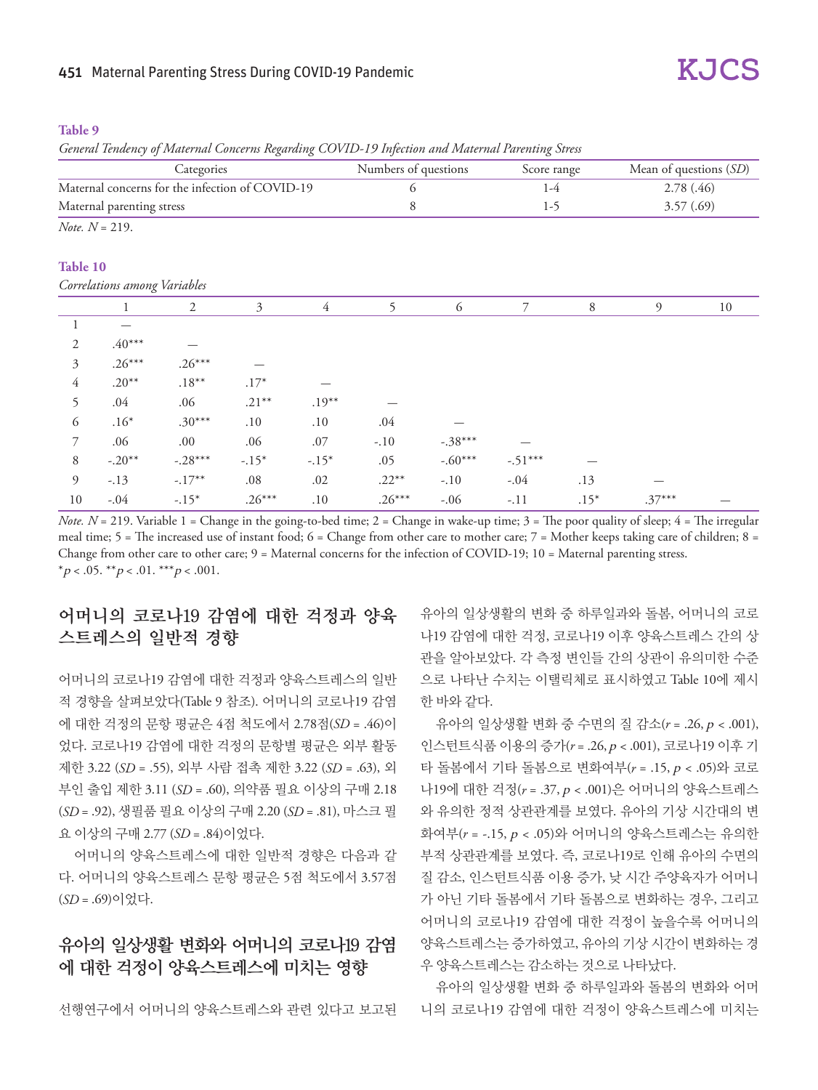#### 451 Maternal Parenting Stress During COVID-19 Pandemic

#### **Table 9**

*General Tendency of Maternal Concerns Regarding COVID-19 Infection and Maternal Parenting Stress*

| Categories                                      |                              | Numbers of questions |                | Mean of questions (SD)<br>Score range |          |           |            |        |           |    |
|-------------------------------------------------|------------------------------|----------------------|----------------|---------------------------------------|----------|-----------|------------|--------|-----------|----|
| Maternal concerns for the infection of COVID-19 |                              |                      | 6              |                                       | $1-4$    |           | 2.78 (.46) |        |           |    |
|                                                 | Maternal parenting stress    |                      |                |                                       | 8        |           | $1-5$      |        | 3.57(.69) |    |
|                                                 | <i>Note.</i> $N = 219$ .     |                      |                |                                       |          |           |            |        |           |    |
| Table 10                                        |                              |                      |                |                                       |          |           |            |        |           |    |
|                                                 | Correlations among Variables |                      |                |                                       |          |           |            |        |           |    |
|                                                 | $\mathbf{1}$                 | $\mathfrak{2}$       | $\mathfrak{Z}$ | $\overline{4}$                        | 5        | 6         | 7          | 8      | 9         | 10 |
| 1                                               |                              |                      |                |                                       |          |           |            |        |           |    |
| 2                                               | $.40***$                     |                      |                |                                       |          |           |            |        |           |    |
| 3                                               | $.26***$                     | $.26***$             |                |                                       |          |           |            |        |           |    |
| $\overline{4}$                                  | $.20**$                      | $.18***$             | $.17*$         |                                       |          |           |            |        |           |    |
| 5                                               | .04                          | .06                  | $.21***$       | $.19***$                              |          |           |            |        |           |    |
| 6                                               | $.16*$                       | $.30***$             | .10            | .10                                   | .04      |           |            |        |           |    |
| 7                                               | .06                          | .00                  | .06            | .07                                   | $-.10$   | $-.38***$ |            |        |           |    |
| 8                                               | $-.20**$                     | $-.28***$            | $-.15*$        | $-.15*$                               | .05      | $-.60***$ | $-.51***$  |        |           |    |
| 9                                               | $-.13$                       | $-.17***$            | .08            | .02                                   | $.22***$ | $-.10$    | $-.04$     | .13    |           |    |
| 10                                              | $-.04$                       | $-.15*$              | $.26***$       | .10                                   | $.26***$ | $-.06$    | $-.11$     | $.15*$ | $.37***$  |    |

*Note.*  $N = 219$ . Variable 1 = Change in the going-to-bed time; 2 = Change in wake-up time; 3 = The poor quality of sleep; 4 = The irregular meal time; 5 = The increased use of instant food; 6 = Change from other care to mother care; 7 = Mother keeps taking care of children; 8 = Change from other care to other care; 9 = Maternal concerns for the infection of COVID-19; 10 = Maternal parenting stress. \*p < .05. \*\*p < .01. \*\*\*p < .001.

## 어머니의 코로나19 감염에 대한 걱정과 양육 스트레스의 일반적 경향

어머니의 코로나19 감염에 대한 걱정과 양육스트레스의 일반 적 경향을 살펴보았다(Table 9 참조). 어머니의 코로나19 감염 에 대한 걱정의 문항 평균은 4점 척도에서 2.78점(*SD* = .46)이 었다. 코로나19 감염에 대한 걱정의 문항별 평균은 외부 활동 제한 3.22 (*SD* = .55), 외부 사람 접촉 제한 3.22 (*SD* = .63), 외 부인 출입 제한 3.11 (*SD* = .60), 의약품 필요 이상의 구매 2.18 (*SD* = .92), 생필품 필요 이상의 구매 2.20 (*SD* = .81), 마스크 필 요 이상의 구매 2.77 (*SD* = .84)이었다.

어머니의 양육스트레스에 대한 일반적 경향은 다음과 같 다. 어머니의 양육스트레스 문항 평균은 5점 척도에서 3.57점 (*SD* = .69)이었다.

## 유아의 일상생활 변화와 어머니의 코로나19 감염 에 대한 걱정이 양육스트레스에 미치는 영향

선행연구에서 어머니의 양육스트레스와 관련 있다고 보고된

유아의 일상생활의 변화 중 하루일과와 돌봄, 어머니의 코로 나19 감염에 대한 걱정, 코로나19 이후 양육스트레스 간의 상 관을 알아보았다. 각 측정 변인들 간의 상관이 유의미한 수준 으로 나타난 수치는 이탤릭체로 표시하였고 Table 10에 제시 한 바와 같다.

유아의 일상생활 변화 중 수면의 질 감소(*r* = .26, p < .001), 인스턴트식품 이용의 증가(*r* = .26, p < .001), 코로나19 이후 기 타 돌봄에서 기타 돌봄으로 변화여부(*r* = .15, p < .05)와 코로 나19에 대한 걱정(*r* = .37, p < .001)은 어머니의 양육스트레스 와 유의한 정적 상관관계를 보였다. 유아의 기상 시간대의 변 화여부(*r* = -.15, p < .05)와 어머니의 양육스트레스는 유의한 부적 상관관계를 보였다. 즉, 코로나19로 인해 유아의 수면의 질 감소, 인스턴트식품 이용 증가, 낮 시간 주양육자가 어머니 가 아닌 기타 돌봄에서 기타 돌봄으로 변화하는 경우, 그리고 어머니의 코로나19 감염에 대한 걱정이 높을수록 어머니의 양육스트레스는 증가하였고, 유아의 기상 시간이 변화하는 경 우 양육스트레스는 감소하는 것으로 나타났다.

유아의 일상생활 변화 중 하루일과와 돌봄의 변화와 어머 니의 코로나19 감염에 대한 걱정이 양육스트레스에 미치는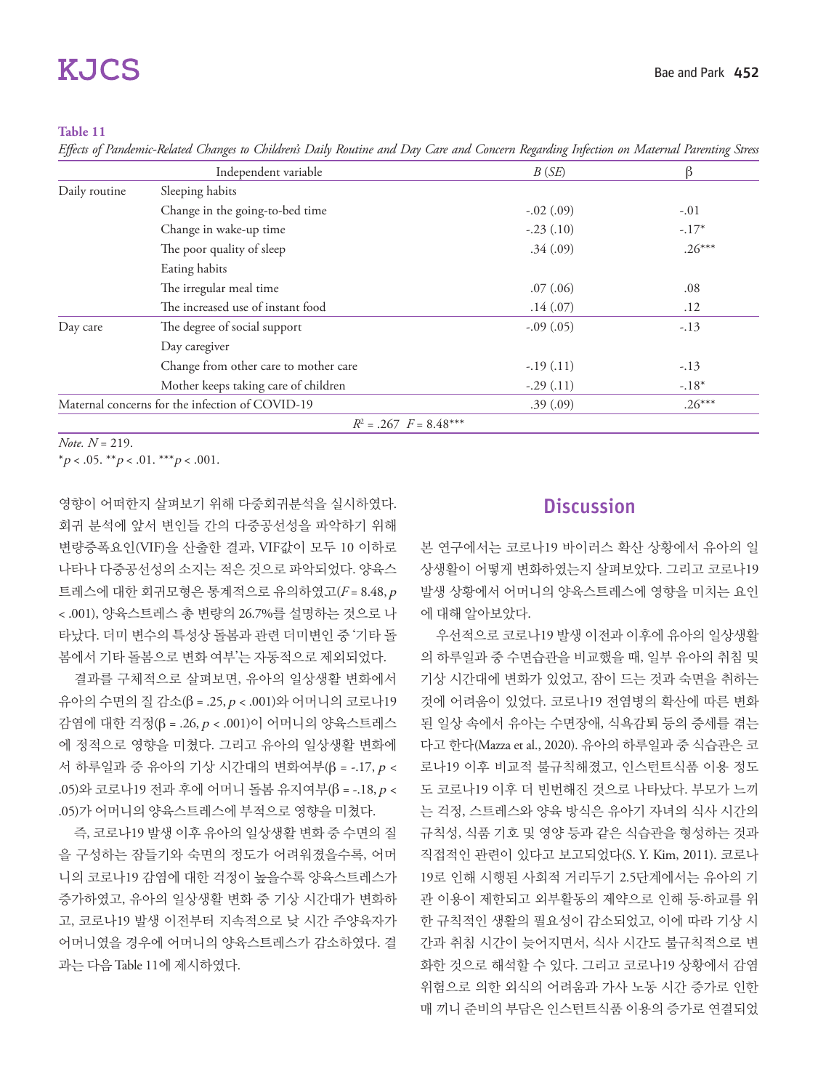#### **Table 11**

*Effects of Pandemic-Related Changes to Children's Daily Routine and Day Care and Concern Regarding Infection on Maternal Parenting Stress*

|               | Independent variable                            | B(SE)       | ß        |
|---------------|-------------------------------------------------|-------------|----------|
| Daily routine | Sleeping habits                                 |             |          |
|               | Change in the going-to-bed time                 | $-.02(.09)$ | $-.01$   |
|               | Change in wake-up time                          | $-.23(.10)$ | $-.17*$  |
|               | The poor quality of sleep                       | .34(.09)    | $.26***$ |
|               | Eating habits                                   |             |          |
|               | The irregular meal time                         | .07(.06)    | .08      |
|               | The increased use of instant food               | .14(.07)    | .12      |
| Day care      | The degree of social support                    | $-.09(.05)$ | $-.13$   |
|               | Day caregiver                                   |             |          |
|               | Change from other care to mother care           | $-.19(.11)$ | $-.13$   |
|               | Mother keeps taking care of children            | $-.29(.11)$ | $-.18*$  |
|               | Maternal concerns for the infection of COVID-19 | .39(.09)    | $.26***$ |
|               | $R^2 = .267$ $F = 8.48***$                      |             |          |

*Note. N* = 219.

\*p < .05. \*\*p < .01. \*\*\*p < .001.

영향이 어떠한지 살펴보기 위해 다중회귀분석을 실시하였다. 회귀 분석에 앞서 변인들 간의 다중공선성을 파악하기 위해 변량증폭요인(VIF)을 산출한 결과, VIF값이 모두 10 이하로 나타나 다중공선성의 소지는 적은 것으로 파악되었다. 양육스 트레스에 대한 회귀모형은 통계적으로 유의하였고(*F* = 8.48, <sup>p</sup> < .001), 양육스트레스 총 변량의 26.7%를 설명하는 것으로 나 타났다. 더미 변수의 특성상 돌봄과 관련 더미변인 중 '기타 돌 봄에서 기타 돌봄으로 변화 여부'는 자동적으로 제외되었다.

결과를 구체적으로 살펴보면, 유아의 일상생활 변화에서 유아의 수면의 질 감소(β = .25, p < .001)와 어머니의 코로나19 감염에 대한 걱정(β = .26, p < .001)이 어머니의 양육스트레스 에 정적으로 영향을 미쳤다. 그리고 유아의 일상생활 변화에 서 하루일과 중 유아의 기상 시간대의 변화여부(β = -.17, p < .05)와 코로나19 전과 후에 어머니 돌봄 유지여부(β = -.18,  $p$  < .05)가 어머니의 양육스트레스에 부적으로 영향을 미쳤다.

즉, 코로나19 발생 이후 유아의 일상생활 변화 중 수면의 질 을 구성하는 잠들기와 숙면의 정도가 어려워졌을수록, 어머 니의 코로나19 감염에 대한 걱정이 높을수록 양육스트레스가 증가하였고, 유아의 일상생활 변화 중 기상 시간대가 변화하 고, 코로나19 발생 이전부터 지속적으로 낮 시간 주양육자가 어머니였을 경우에 어머니의 양육스트레스가 감소하였다. 결 과는 다음 Table 11에 제시하였다.

## **Discussion**

본 연구에서는 코로나19 바이러스 확산 상황에서 유아의 일 상생활이 어떻게 변화하였는지 살펴보았다. 그리고 코로나19 발생 상황에서 어머니의 양육스트레스에 영향을 미치는 요인 에 대해 알아보았다.

우선적으로 코로나19 발생 이전과 이후에 유아의 일상생활 의 하루일과 중 수면습관을 비교했을 때, 일부 유아의 취침 및 기상 시간대에 변화가 있었고, 잠이 드는 것과 숙면을 취하는 것에 어려움이 있었다. 코로나19 전염병의 확산에 따른 변화 된 일상 속에서 유아는 수면장애, 식욕감퇴 등의 증세를 겪는 다고 한다(Mazza et al., 2020). 유아의 하루일과 중 식습관은 코 로나19 이후 비교적 불규칙해졌고, 인스턴트식품 이용 정도 도 코로나19 이후 더 빈번해진 것으로 나타났다. 부모가 느끼 는 걱정, 스트레스와 양육 방식은 유아기 자녀의 식사 시간의 규칙성, 식품 기호 및 영양 등과 같은 식습관을 형성하는 것과 직접적인 관련이 있다고 보고되었다(S. Y. Kim, 2011). 코로나 19로 인해 시행된 사회적 거리두기 2.5단계에서는 유아의 기 관 이용이 제한되고 외부활동의 제약으로 인해 등·하교를 위 한 규칙적인 생활의 필요성이 감소되었고, 이에 따라 기상 시 간과 취침 시간이 늦어지면서, 식사 시간도 불규칙적으로 변 화한 것으로 해석할 수 있다. 그리고 코로나19 상황에서 감염 위험으로 의한 외식의 어려움과 가사 노동 시간 증가로 인한 매 끼니 준비의 부담은 인스턴트식품 이용의 증가로 연결되었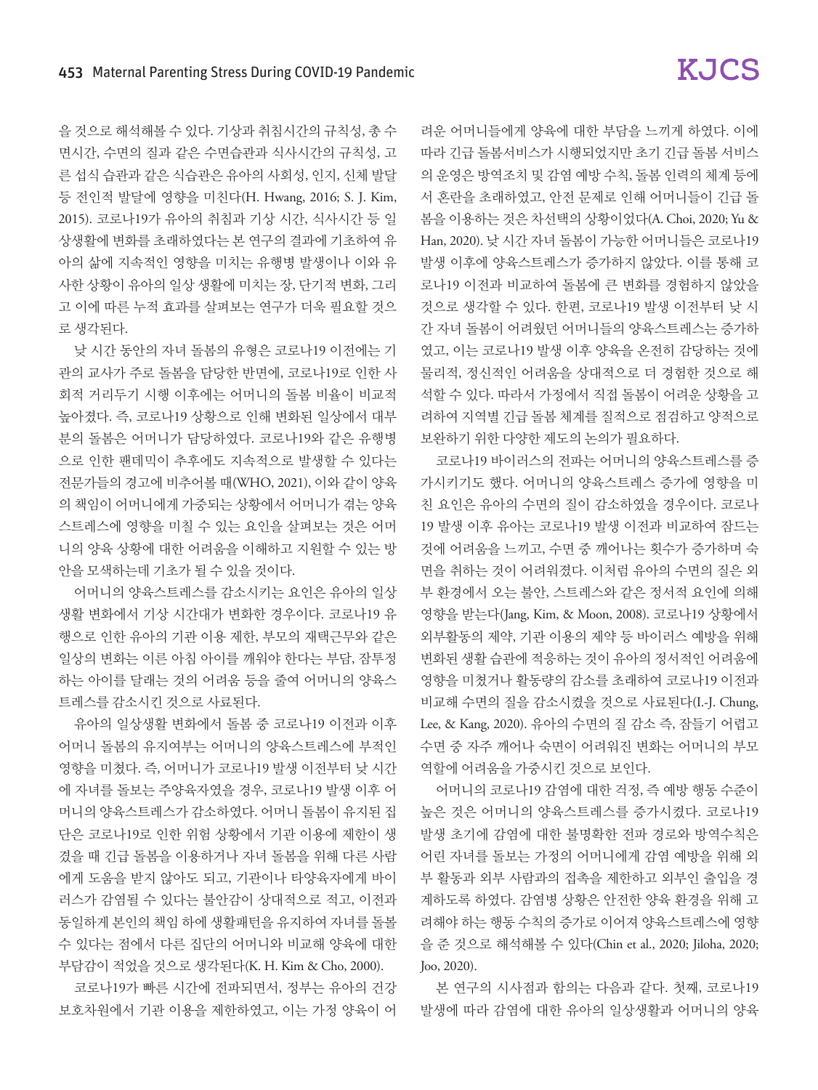을 것으로 해석해볼 수 있다. 기상과 취침시간의 규칙성, 총 수 면시간, 수면의 질과 같은 수면습관과 식사시간의 규칙성, 고 른 섭식 습관과 같은 식습관은 유아의 사회성, 인지, 신체 발달 등 전인적 발달에 영향을 미친다(H. Hwang, 2016; S. J. Kim, 2015). 코로나19가 유아의 취침과 기상 시간, 식사시간 등 일 상생활에 변화를 초래하였다는 본 연구의 결과에 기초하여 유 아의 삶에 지속적인 영향을 미치는 유행병 발생이나 이와 유 사한 상황이 유아의 일상 생활에 미치는 장, 단기적 변화, 그리 고 이에 따른 누적 효과를 살펴보는 연구가 더욱 필요할 것으 로 생각된다.

낮 시간 동안의 자녀 돌봄의 유형은 코로나19 이전에는 기 관의 교사가 주로 돌봄을 담당한 반면에, 코로나19로 인한 사 회적 거리두기 시행 이후에는 어머니의 돌봄 비율이 비교적 높아졌다. 즉, 코로나19 상황으로 인해 변화된 일상에서 대부 분의 돌봄은 어머니가 담당하였다. 코로나19와 같은 유행병 으로 인한 팬데믹이 추후에도 지속적으로 발생할 수 있다는 전문가들의 경고에 비추어볼 때(WHO, 2021), 이와 같이 양육 의 책임이 어머니에게 가중되는 상황에서 어머니가 겪는 양육 스트레스에 영향을 미칠 수 있는 요인을 살펴보는 것은 어머 니의 양육 상황에 대한 어려움을 이해하고 지원할 수 있는 방 안을 모색하는데 기초가 될 수 있을 것이다.

어머니의 양육스트레스를 감소시키는 요인은 유아의 일상 생활 변화에서 기상 시간대가 변화한 경우이다. 코로나19 유 행으로 인한 유아의 기관 이용 제한, 부모의 재택근무와 같은 일상의 변화는 이른 아침 아이를 깨워야 한다는 부담, 잠투정 하는 아이를 달래는 것의 어려움 등을 줄여 어머니의 양육스 트레스를 감소시킨 것으로 사료된다.

유아의 일상생활 변화에서 돌봄 중 코로나19 이전과 이후 어머니 돌봄의 유지여부는 어머니의 양육스트레스에 부적인 영향을 미쳤다. 즉, 어머니가 코로나19 발생 이전부터 낮 시간 에 자녀를 돌보는 주양육자였을 경우, 코로나19 발생 이후 어 머니의 양육스트레스가 감소하였다. 어머니 돌봄이 유지된 집 단은 코로나19로 인한 위험 상황에서 기관 이용에 제한이 생 겼을 때 긴급 돌봄을 이용하거나 자녀 돌봄을 위해 다른 사람 에게 도움을 받지 않아도 되고, 기관이나 타양육자에게 바이 러스가 감염될 수 있다는 불안감이 상대적으로 적고, 이전과 동일하게 본인의 책임 하에 생활패턴을 유지하여 자녀를 돌볼 수 있다는 점에서 다른 집단의 어머니와 비교해 양육에 대한 부담감이 적었을 것으로 생각된다(K. H. Kim & Cho, 2000).

코로나19가 빠른 시간에 전파되면서, 정부는 유아의 건강 보호차원에서 기관 이용을 제한하였고, 이는 가정 양육이 어

려운 어머니들에게 양육에 대한 부담을 느끼게 하였다. 이에 따라 긴급 돌봄서비스가 시행되었지만 초기 긴급 돌봄 서비스 의 운영은 방역조치 및 감염 예방 수칙, 돌봄 인력의 체계 등에 서 혼란을 초래하였고, 안전 문제로 인해 어머니들이 긴급 돌 봄을 이용하는 것은 차선택의 상황이었다(A. Choi, 2020; Yu & Han, 2020). 낮 시간 자녀 돌봄이 가능한 어머니들은 코로나19 발생 이후에 양육스트레스가 증가하지 않았다. 이를 통해 코 로나19 이전과 비교하여 돌봄에 큰 변화를 경험하지 않았을 것으로 생각할 수 있다. 한편, 코로나19 발생 이전부터 낮 시 간 자녀 돌봄이 어려웠던 어머니들의 양육스트레스는 증가하 였고, 이는 코로나19 발생 이후 양육을 온전히 감당하는 것에 물리적, 정신적인 어려움을 상대적으로 더 경험한 것으로 해 석할 수 있다. 따라서 가정에서 직접 돌봄이 어려운 상황을 고 려하여 지역별 긴급 돌봄 체계를 질적으로 점검하고 양적으로 보완하기 위한 다양한 제도의 논의가 필요하다.

코로나19 바이러스의 전파는 어머니의 양육스트레스를 증 가시키기도 했다. 어머니의 양육스트레스 증가에 영향을 미 친 요인은 유아의 수면의 질이 감소하였을 경우이다. 코로나 19 발생 이후 유아는 코로나19 발생 이전과 비교하여 잠드는 것에 어려움을 느끼고, 수면 중 깨어나는 횟수가 증가하며 숙 면을 취하는 것이 어려워졌다. 이처럼 유아의 수면의 질은 외 부 환경에서 오는 불안, 스트레스와 같은 정서적 요인에 의해 영향을 받는다(Jang, Kim, & Moon, 2008). 코로나19 상황에서 외부활동의 제약, 기관 이용의 제약 등 바이러스 예방을 위해 변화된 생활 습관에 적응하는 것이 유아의 정서적인 어려움에 영향을 미쳤거나 활동량의 감소를 초래하여 코로나19 이전과 비교해 수면의 질을 감소시켰을 것으로 사료된다(I.-J. Chung, Lee, & Kang, 2020). 유아의 수면의 질 감소 즉, 잠들기 어렵고 수면 중 자주 깨어나 숙면이 어려워진 변화는 어머니의 부모 역할에 어려움을 가중시킨 것으로 보인다.

어머니의 코로나19 감염에 대한 걱정, 즉 예방 행동 수준이 높은 것은 어머니의 양육스트레스를 증가시켰다. 코로나19 발생 초기에 감염에 대한 불명확한 전파 경로와 방역수칙은 어린 자녀를 돌보는 가정의 어머니에게 감염 예방을 위해 외 부 활동과 외부 사람과의 접촉을 제한하고 외부인 출입을 경 계하도록 하였다. 감염병 상황은 안전한 양육 환경을 위해 고 려해야 하는 행동 수칙의 증가로 이어져 양육스트레스에 영향 을 준 것으로 해석해볼 수 있다(Chin et al., 2020; Jiloha, 2020; Joo, 2020).

본 연구의 시사점과 함의는 다음과 같다. 첫째, 코로나19 발생에 따라 감염에 대한 유아의 일상생활과 어머니의 양육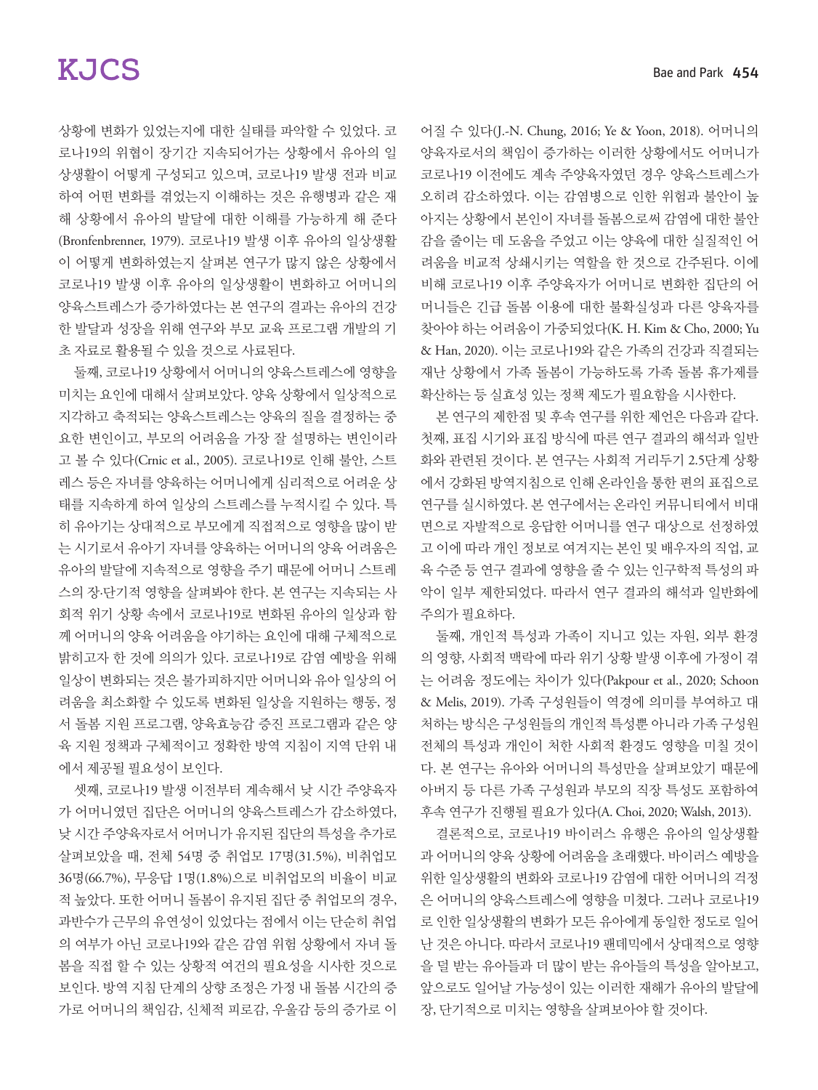상황에 변화가 있었는지에 대한 실태를 파악할 수 있었다. 코 로나19의 위협이 장기간 지속되어가는 상황에서 유아의 일 상생활이 어떻게 구성되고 있으며, 코로나19 발생 전과 비교 하여 어떤 변화를 겪었는지 이해하는 것은 유행병과 같은 재 해 상황에서 유아의 발달에 대한 이해를 가능하게 해 준다 (Bronfenbrenner, 1979). 코로나19 발생 이후 유아의 일상생활 이 어떻게 변화하였는지 살펴본 연구가 많지 않은 상황에서 코로나19 발생 이후 유아의 일상생활이 변화하고 어머니의 양육스트레스가 증가하였다는 본 연구의 결과는 유아의 건강 한 발달과 성장을 위해 연구와 부모 교육 프로그램 개발의 기 초 자료로 활용될 수 있을 것으로 사료된다.

둘째, 코로나19 상황에서 어머니의 양육스트레스에 영향을 미치는 요인에 대해서 살펴보았다. 양육 상황에서 일상적으로 지각하고 축적되는 양육스트레스는 양육의 질을 결정하는 중 요한 변인이고, 부모의 어려움을 가장 잘 설명하는 변인이라 고 볼 수 있다(Crnic et al., 2005). 코로나19로 인해 불안, 스트 레스 등은 자녀를 양육하는 어머니에게 심리적으로 어려운 상 태를 지속하게 하여 일상의 스트레스를 누적시킬 수 있다. 특 히 유아기는 상대적으로 부모에게 직접적으로 영향을 많이 받 는 시기로서 유아기 자녀를 양육하는 어머니의 양육 어려움은 유아의 발달에 지속적으로 영향을 주기 때문에 어머니 스트레 스의 장·단기적 영향을 살펴봐야 한다. 본 연구는 지속되는 사 회적 위기 상황 속에서 코로나19로 변화된 유아의 일상과 함 께 어머니의 양육 어려움을 야기하는 요인에 대해 구체적으로 밝히고자 한 것에 의의가 있다. 코로나19로 감염 예방을 위해 일상이 변화되는 것은 불가피하지만 어머니와 유아 일상의 어 려움을 최소화할 수 있도록 변화된 일상을 지원하는 행동, 정 서 돌봄 지원 프로그램, 양육효능감 증진 프로그램과 같은 양 육 지원 정책과 구체적이고 정확한 방역 지침이 지역 단위 내 에서 제공될 필요성이 보인다.

셋째, 코로나19 발생 이전부터 계속해서 낮 시간 주양육자 가 어머니였던 집단은 어머니의 양육스트레스가 감소하였다, 낮 시간 주양육자로서 어머니가 유지된 집단의 특성을 추가로 살펴보았을 때, 전체 54명 중 취업모 17명(31.5%), 비취업모 36명(66.7%), 무응답 1명(1.8%)으로 비취업모의 비율이 비교 적 높았다. 또한 어머니 돌봄이 유지된 집단 중 취업모의 경우, 과반수가 근무의 유연성이 있었다는 점에서 이는 단순히 취업 의 여부가 아닌 코로나19와 같은 감염 위험 상황에서 자녀 돌 봄을 직접 할 수 있는 상황적 여건의 필요성을 시사한 것으로 보인다. 방역 지침 단계의 상향 조정은 가정 내 돌봄 시간의 증 가로 어머니의 책임감, 신체적 피로감, 우울감 등의 증가로 이

어질 수 있다(J.-N. Chung, 2016; Ye & Yoon, 2018). 어머니의 양육자로서의 책임이 증가하는 이러한 상황에서도 어머니가 코로나19 이전에도 계속 주양육자였던 경우 양육스트레스가 오히려 감소하였다. 이는 감염병으로 인한 위험과 불안이 높 아지는 상황에서 본인이 자녀를 돌봄으로써 감염에 대한 불안 감을 줄이는 데 도움을 주었고 이는 양육에 대한 실질적인 어 려움을 비교적 상쇄시키는 역할을 한 것으로 간주된다. 이에 비해 코로나19 이후 주양육자가 어머니로 변화한 집단의 어 머니들은 긴급 돌봄 이용에 대한 불확실성과 다른 양육자를 찾아야 하는 어려움이 가중되었다(K. H. Kim & Cho, 2000; Yu & Han, 2020). 이는 코로나19와 같은 가족의 건강과 직결되는 재난 상황에서 가족 돌봄이 가능하도록 가족 돌봄 휴가제를 확산하는 등 실효성 있는 정책 제도가 필요함을 시사한다.

본 연구의 제한점 및 후속 연구를 위한 제언은 다음과 같다. 첫째, 표집 시기와 표집 방식에 따른 연구 결과의 해석과 일반 화와 관련된 것이다. 본 연구는 사회적 거리두기 2.5단계 상황 에서 강화된 방역지침으로 인해 온라인을 통한 편의 표집으로 연구를 실시하였다. 본 연구에서는 온라인 커뮤니티에서 비대 면으로 자발적으로 응답한 어머니를 연구 대상으로 선정하였 고 이에 따라 개인 정보로 여겨지는 본인 및 배우자의 직업, 교 육 수준 등 연구 결과에 영향을 줄 수 있는 인구학적 특성의 파 악이 일부 제한되었다. 따라서 연구 결과의 해석과 일반화에 주의가 필요하다.

둘째, 개인적 특성과 가족이 지니고 있는 자원, 외부 환경 의 영향, 사회적 맥락에 따라 위기 상황 발생 이후에 가정이 겪 는 어려움 정도에는 차이가 있다(Pakpour et al., 2020; Schoon & Melis, 2019). 가족 구성원들이 역경에 의미를 부여하고 대 처하는 방식은 구성원들의 개인적 특성뿐 아니라 가족 구성원 전체의 특성과 개인이 처한 사회적 환경도 영향을 미칠 것이 다. 본 연구는 유아와 어머니의 특성만을 살펴보았기 때문에 아버지 등 다른 가족 구성원과 부모의 직장 특성도 포함하여 후속 연구가 진행될 필요가 있다(A. Choi, 2020; Walsh, 2013).

결론적으로, 코로나19 바이러스 유행은 유아의 일상생활 과 어머니의 양육 상황에 어려움을 초래했다. 바이러스 예방을 위한 일상생활의 변화와 코로나19 감염에 대한 어머니의 걱정 은 어머니의 양육스트레스에 영향을 미쳤다. 그러나 코로나19 로 인한 일상생활의 변화가 모든 유아에게 동일한 정도로 일어 난 것은 아니다. 따라서 코로나19 팬데믹에서 상대적으로 영향 을 덜 받는 유아들과 더 많이 받는 유아들의 특성을 알아보고, 앞으로도 일어날 가능성이 있는 이러한 재해가 유아의 발달에 장, 단기적으로 미치는 영향을 살펴보아야 할 것이다.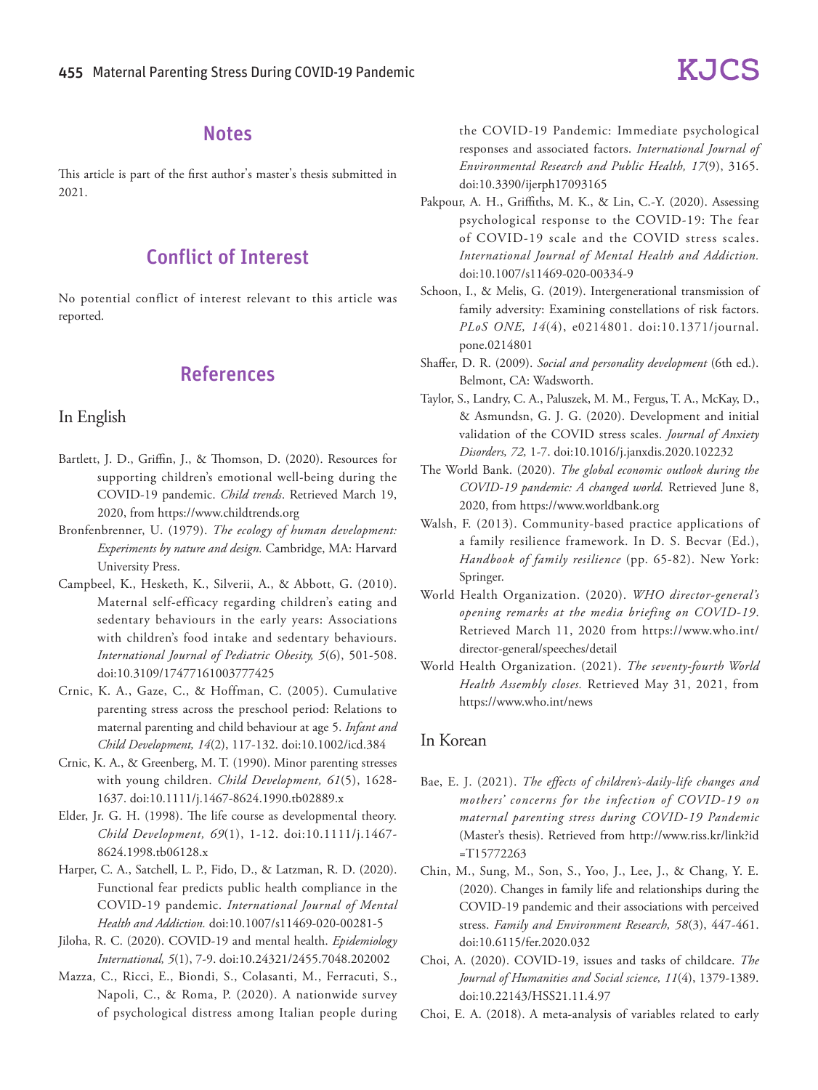## **Notes**

This article is part of the first author's master's thesis submitted in 2021.

## Conflict of Interest

No potential conflict of interest relevant to this article was reported.

## References

### In English

- Bartlett, J. D., Griffin, J., & Thomson, D. (2020). Resources for supporting children's emotional well-being during the COVID-19 pandemic. *Child trends*. Retrieved March 19, 2020, from https://www.childtrends.org
- Bronfenbrenner, U. (1979). *The ecology of human development: Experiments by nature and design.* Cambridge, MA: Harvard University Press.
- Campbeel, K., Hesketh, K., Silverii, A., & Abbott, G. (2010). Maternal self-efficacy regarding children's eating and sedentary behaviours in the early years: Associations with children's food intake and sedentary behaviours. *International Journal of Pediatric Obesity, 5*(6), 501-508. doi:10.3109/17477161003777425
- Crnic, K. A., Gaze, C., & Hoffman, C. (2005). Cumulative parenting stress across the preschool period: Relations to maternal parenting and child behaviour at age 5. *Infant and Child Development, 14*(2), 117-132. doi:10.1002/icd.384
- Crnic, K. A., & Greenberg, M. T. (1990). Minor parenting stresses with young children. *Child Development, 61*(5), 1628- 1637. doi:10.1111/j.1467-8624.1990.tb02889.x
- Elder, Jr. G. H. (1998). The life course as developmental theory. *Child Development, 69*(1), 1-12. doi:10.1111/j.1467- 8624.1998.tb06128.x
- Harper, C. A., Satchell, L. P., Fido, D., & Latzman, R. D. (2020). Functional fear predicts public health compliance in the COVID-19 pandemic. *International Journal of Mental Health and Addiction.* doi:10.1007/s11469-020-00281-5
- Jiloha, R. C. (2020). COVID-19 and mental health. *Epidemiology International, 5*(1), 7-9. doi:10.24321/2455.7048.202002
- Mazza, C., Ricci, E., Biondi, S., Colasanti, M., Ferracuti, S., Napoli, C., & Roma, P. (2020). A nationwide survey of psychological distress among Italian people during

the COVID-19 Pandemic: Immediate psychological responses and associated factors. *International Journal of Environmental Research and Public Health, 17*(9), 3165. doi:10.3390/ijerph17093165

- Pakpour, A. H., Griffiths, M. K., & Lin, C.-Y. (2020). Assessing psychological response to the COVID-19: The fear of COVID-19 scale and the COVID stress scales. *International Journal of Mental Health and Addiction.*  doi:10.1007/s11469-020-00334-9
- Schoon, I., & Melis, G. (2019). Intergenerational transmission of family adversity: Examining constellations of risk factors. *PLoS ONE, 14*(4), e0214801. doi:10.1371/journal. pone.0214801
- Shaffer, D. R. (2009). *Social and personality development* (6th ed.). Belmont, CA: Wadsworth.
- Taylor, S., Landry, C. A., Paluszek, M. M., Fergus, T. A., McKay, D., & Asmundsn, G. J. G. (2020). Development and initial validation of the COVID stress scales. *Journal of Anxiety Disorders, 72,* 1-7. doi:10.1016/j.janxdis.2020.102232
- The World Bank. (2020). *The global economic outlook during the COVID-19 pandemic: A changed world.* Retrieved June 8, 2020, from https://www.worldbank.org
- Walsh, F. (2013). Community-based practice applications of a family resilience framework. In D. S. Becvar (Ed.), *Handbook of family resilience* (pp. 65-82). New York: Springer.
- World Health Organization. (2020). *WHO director-general's opening remarks at the media briefing on COVID-19*. Retrieved March 11, 2020 from https://www.who.int/ director-general/speeches/detail
- World Health Organization. (2021). *The seventy-fourth World Health Assembly closes.* Retrieved May 31, 2021, from https://www.who.int/news

### In Korean

- Bae, E. J. (2021). *The effects of children's-daily-life changes and mothers' concerns for the infection of COVID-19 on maternal parenting stress during COVID-19 Pandemic*  (Master's thesis). Retrieved from http://www.riss.kr/link?id =T15772263
- Chin, M., Sung, M., Son, S., Yoo, J., Lee, J., & Chang, Y. E. (2020). Changes in family life and relationships during the COVID-19 pandemic and their associations with perceived stress. *Family and Environment Research, 58*(3), 447-461. doi:10.6115/fer.2020.032
- Choi, A. (2020). COVID-19, issues and tasks of childcare. *The Journal of Humanities and Social science, 11*(4), 1379-1389. doi:10.22143/HSS21.11.4.97
- Choi, E. A. (2018). A meta-analysis of variables related to early